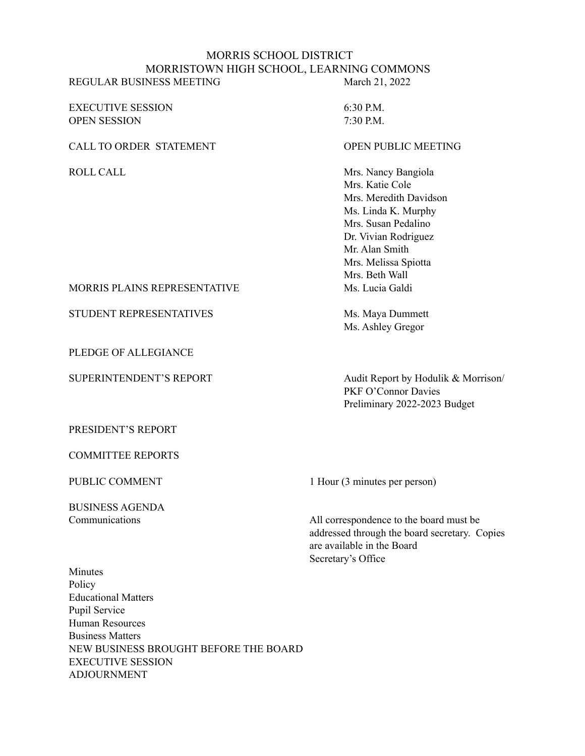#### MORRIS SCHOOL DISTRICT MORRISTOWN HIGH SCHOOL, LEARNING COMMONS REGULAR BUSINESS MEETING March 21, 2022

EXECUTIVE SESSION 6:30 P.M. OPEN SESSION 7:30 P.M.

CALL TO ORDER STATEMENT OPEN PUBLIC MEETING

ROLL CALL Mrs. Nancy Bangiola Mrs. Katie Cole Mrs. Meredith Davidson Ms. Linda K. Murphy Mrs. Susan Pedalino Dr. Vivian Rodriguez Mr. Alan Smith Mrs. Melissa Spiotta Mrs. Beth Wall MORRIS PLAINS REPRESENTATIVE MS. Lucia Galdi

STUDENT REPRESENTATIVES Ms. Maya Dummett Ms. Ashley Gregor

SUPERINTENDENT'S REPORT Audit Report by Hodulik & Morrison/ PKF O'Connor Davies Preliminary 2022-2023 Budget

PRESIDENT'S REPORT

PLEDGE OF ALLEGIANCE

COMMITTEE REPORTS

BUSINESS AGENDA

PUBLIC COMMENT 1 Hour (3 minutes per person)

Communications All correspondence to the board must be addressed through the board secretary. Copies are available in the Board Secretary's Office

Minutes Policy Educational Matters Pupil Service Human Resources Business Matters NEW BUSINESS BROUGHT BEFORE THE BOARD EXECUTIVE SESSION ADJOURNMENT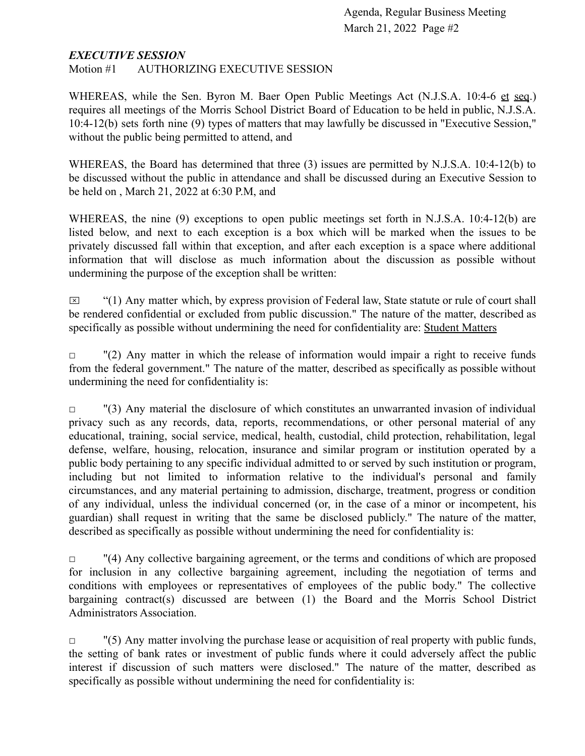#### *EXECUTIVE SESSION*

Motion #1 AUTHORIZING EXECUTIVE SESSION

WHEREAS, while the Sen. Byron M. Baer Open Public Meetings Act (N.J.S.A. 10:4-6 et seq.) requires all meetings of the Morris School District Board of Education to be held in public, N.J.S.A. 10:4-12(b) sets forth nine (9) types of matters that may lawfully be discussed in "Executive Session," without the public being permitted to attend, and

WHEREAS, the Board has determined that three (3) issues are permitted by N.J.S.A. 10:4-12(b) to be discussed without the public in attendance and shall be discussed during an Executive Session to be held on , March 21, 2022 at 6:30 P.M, and

WHEREAS, the nine (9) exceptions to open public meetings set forth in N.J.S.A. 10:4-12(b) are listed below, and next to each exception is a box which will be marked when the issues to be privately discussed fall within that exception, and after each exception is a space where additional information that will disclose as much information about the discussion as possible without undermining the purpose of the exception shall be written:

 $\boxtimes$  "(1) Any matter which, by express provision of Federal law, State statute or rule of court shall be rendered confidential or excluded from public discussion." The nature of the matter, described as specifically as possible without undermining the need for confidentiality are: Student Matters

 $\Box$  "(2) Any matter in which the release of information would impair a right to receive funds from the federal government." The nature of the matter, described as specifically as possible without undermining the need for confidentiality is:

 $\Box$  "(3) Any material the disclosure of which constitutes an unwarranted invasion of individual privacy such as any records, data, reports, recommendations, or other personal material of any educational, training, social service, medical, health, custodial, child protection, rehabilitation, legal defense, welfare, housing, relocation, insurance and similar program or institution operated by a public body pertaining to any specific individual admitted to or served by such institution or program, including but not limited to information relative to the individual's personal and family circumstances, and any material pertaining to admission, discharge, treatment, progress or condition of any individual, unless the individual concerned (or, in the case of a minor or incompetent, his guardian) shall request in writing that the same be disclosed publicly." The nature of the matter, described as specifically as possible without undermining the need for confidentiality is:

 $\Box$  "(4) Any collective bargaining agreement, or the terms and conditions of which are proposed for inclusion in any collective bargaining agreement, including the negotiation of terms and conditions with employees or representatives of employees of the public body." The collective bargaining contract(s) discussed are between (1) the Board and the Morris School District Administrators Association.

 $\Box$  "(5) Any matter involving the purchase lease or acquisition of real property with public funds, the setting of bank rates or investment of public funds where it could adversely affect the public interest if discussion of such matters were disclosed." The nature of the matter, described as specifically as possible without undermining the need for confidentiality is: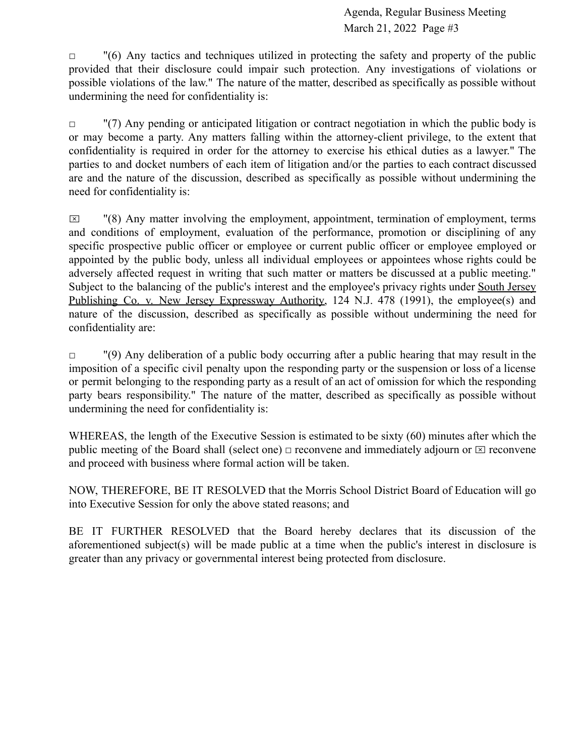$\Box$  "(6) Any tactics and techniques utilized in protecting the safety and property of the public provided that their disclosure could impair such protection. Any investigations of violations or possible violations of the law." The nature of the matter, described as specifically as possible without undermining the need for confidentiality is:

 $\Box$  "(7) Any pending or anticipated litigation or contract negotiation in which the public body is or may become a party. Any matters falling within the attorney-client privilege, to the extent that confidentiality is required in order for the attorney to exercise his ethical duties as a lawyer." The parties to and docket numbers of each item of litigation and/or the parties to each contract discussed are and the nature of the discussion, described as specifically as possible without undermining the need for confidentiality is:

 $\boxtimes$  "(8) Any matter involving the employment, appointment, termination of employment, terms and conditions of employment, evaluation of the performance, promotion or disciplining of any specific prospective public officer or employee or current public officer or employee employed or appointed by the public body, unless all individual employees or appointees whose rights could be adversely affected request in writing that such matter or matters be discussed at a public meeting." Subject to the balancing of the public's interest and the employee's privacy rights under South Jersey Publishing Co. v. New Jersey Expressway Authority, 124 N.J. 478 (1991), the employee(s) and nature of the discussion, described as specifically as possible without undermining the need for confidentiality are:

 $\Box$  "(9) Any deliberation of a public body occurring after a public hearing that may result in the imposition of a specific civil penalty upon the responding party or the suspension or loss of a license or permit belonging to the responding party as a result of an act of omission for which the responding party bears responsibility." The nature of the matter, described as specifically as possible without undermining the need for confidentiality is:

WHEREAS, the length of the Executive Session is estimated to be sixty (60) minutes after which the public meeting of the Board shall (select one)  $\Box$  reconvene and immediately adjourn or  $\Box$  reconvene and proceed with business where formal action will be taken.

NOW, THEREFORE, BE IT RESOLVED that the Morris School District Board of Education will go into Executive Session for only the above stated reasons; and

BE IT FURTHER RESOLVED that the Board hereby declares that its discussion of the aforementioned subject(s) will be made public at a time when the public's interest in disclosure is greater than any privacy or governmental interest being protected from disclosure.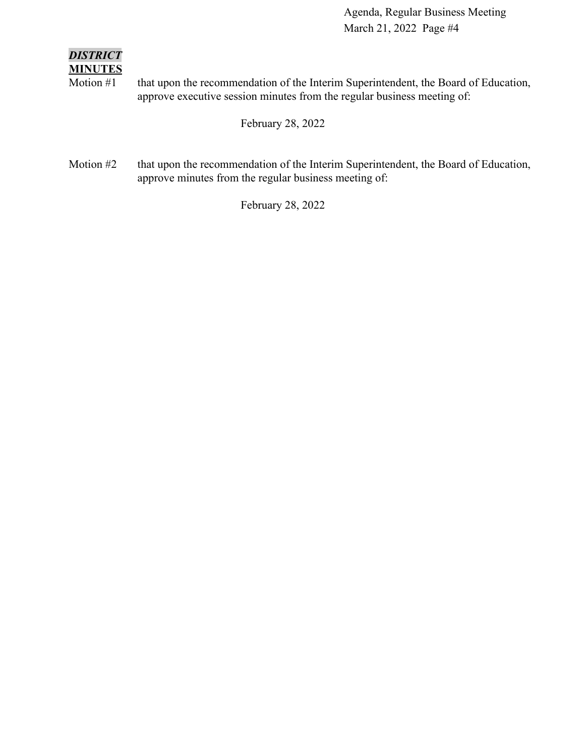### *DISTRICT* **MINUTES**

Motion #1 that upon the recommendation of the Interim Superintendent, the Board of Education, approve executive session minutes from the regular business meeting of:

February 28, 2022

Motion #2 that upon the recommendation of the Interim Superintendent, the Board of Education, approve minutes from the regular business meeting of:

February 28, 2022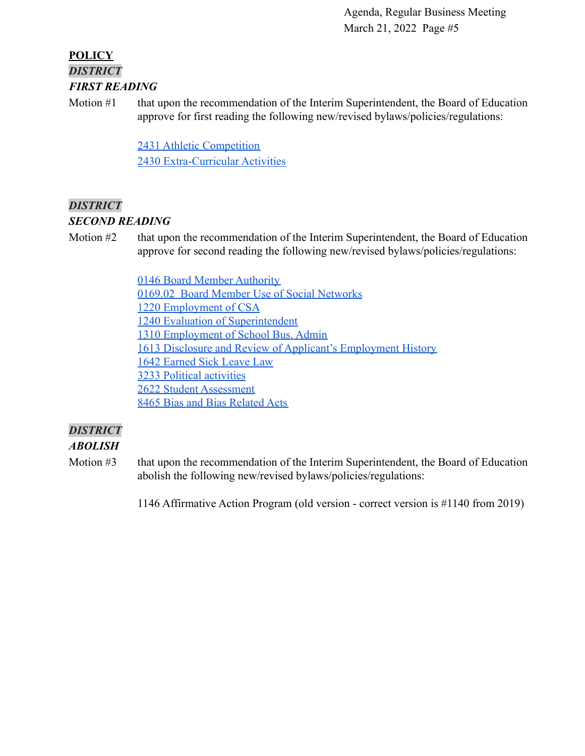### **POLICY** *DISTRICT FIRST READING*

Motion #1 that upon the recommendation of the Interim Superintendent, the Board of Education approve for first reading the following new/revised bylaws/policies/regulations:

> [2431 Athletic Competition](https://drive.google.com/file/d/1LmOawvT-oRI4H_1IKEaBG97W3ykBFQuA/view?usp=sharing) [2430 Extra-Curricular Activities](https://drive.google.com/file/d/13HJ7AHkN9EqYbHJa7gwzJQLY1GN56-2e/view?usp=sharing)

### *DISTRICT*

### *SECOND READING*

Motion #2 that upon the recommendation of the Interim Superintendent, the Board of Education approve for second reading the following new/revised bylaws/policies/regulations:

> [0146 Board Member Authority](https://drive.google.com/file/d/14BRwRgvT29NLzMLcOiUURXwyqpKybDu1/view?usp=sharing) [0169.02 Board Member Use of Social Networks](https://drive.google.com/file/d/1dPnhYH5XKOgB3w0Asii7QdiWYZlwHQ4X/view?usp=sharing) [1220 Employment of CSA](https://drive.google.com/file/d/1Aw_xKDM7Gjqlu28pyARsVuxuTkSqaIv_/view?usp=sharing) [1240 Evaluation of Superintendent](https://drive.google.com/file/d/1S8dxQ0f9fT2E595oBmfJ6EMWv0mcvobI/view?usp=sharing) [1310 Employment of School Bus. Admin](https://drive.google.com/file/d/1pGvOKIfwpvJtsbseAbMhdheBHeHMSbc4/view?usp=sharing) [1613 Disclosure and Review of Applicant's Employment History](https://drive.google.com/file/d/18SiGV7AuWBE0l6v8PxdQBfH2op4pynl7/view?usp=sharing) [1642 Earned Sick Leave Law](https://drive.google.com/file/d/1UUEnbeVnZ9mgfPmhkrxqYqr9THpv-UxO/view?usp=sharing) [3233 Political activities](https://drive.google.com/file/d/1IsjzWTNP5L_Dlf98UJbuPOIlNoZ5oF4N/view?usp=sharing) [2622 Student Assessment](https://drive.google.com/file/d/1_7bc43jEK_Ja1zwGqcaAEcmfLMoHp9e0/view?usp=sharing) [8465 Bias and Bias Related Acts](https://drive.google.com/file/d/1bcWaiZ3uF04GHfj1yjFcPzAGxg6MGVz_/view?usp=sharing)

### *DISTRICT*

### *ABOLISH*

Motion #3 that upon the recommendation of the Interim Superintendent, the Board of Education abolish the following new/revised bylaws/policies/regulations:

1146 Affirmative Action Program (old version - correct version is #1140 from 2019)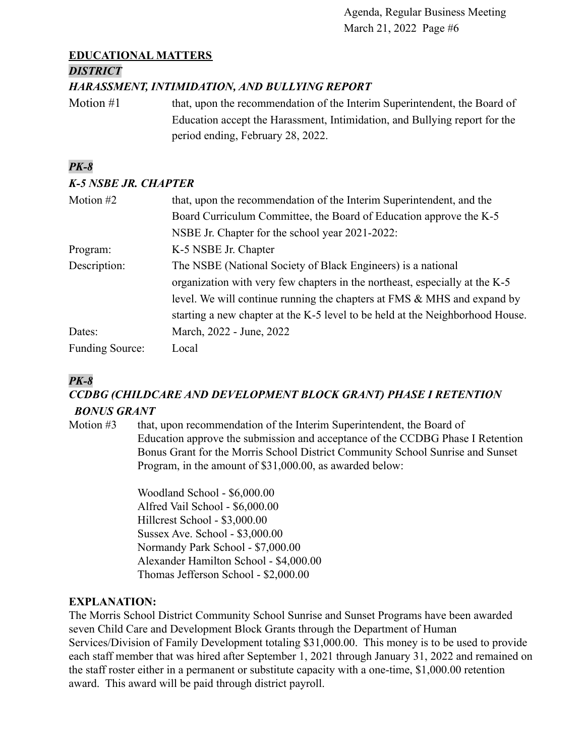### **EDUCATIONAL MATTERS**

### *DISTRICT*

### *HARASSMENT, INTIMIDATION, AND BULLYING REPORT*

Motion #1 that, upon the recommendation of the Interim Superintendent, the Board of Education accept the Harassment, Intimidation, and Bullying report for the period ending, February 28, 2022.

### *PK-8*

### *K-5 NSBE JR. CHAPTER*

| Motion #2              | that, upon the recommendation of the Interim Superintendent, and the          |
|------------------------|-------------------------------------------------------------------------------|
|                        | Board Curriculum Committee, the Board of Education approve the K-5            |
|                        | NSBE Jr. Chapter for the school year 2021-2022:                               |
| Program:               | K-5 NSBE Jr. Chapter                                                          |
| Description:           | The NSBE (National Society of Black Engineers) is a national                  |
|                        | organization with very few chapters in the northeast, especially at the K-5   |
|                        | level. We will continue running the chapters at FMS & MHS and expand by       |
|                        | starting a new chapter at the K-5 level to be held at the Neighborhood House. |
| Dates:                 | March, 2022 - June, 2022                                                      |
| <b>Funding Source:</b> | Local                                                                         |

### *PK-8*

### *CCDBG (CHILDCARE AND DEVELOPMENT BLOCK GRANT) PHASE I RETENTION BONUS GRANT*

Motion #3 that, upon recommendation of the Interim Superintendent, the Board of Education approve the submission and acceptance of the CCDBG Phase I Retention Bonus Grant for the Morris School District Community School Sunrise and Sunset Program, in the amount of \$31,000.00, as awarded below:

> Woodland School - \$6,000.00 Alfred Vail School - \$6,000.00 Hillcrest School - \$3,000.00 Sussex Ave. School - \$3,000.00 Normandy Park School - \$7,000.00 Alexander Hamilton School - \$4,000.00 Thomas Jefferson School - \$2,000.00

### **EXPLANATION:**

The Morris School District Community School Sunrise and Sunset Programs have been awarded seven Child Care and Development Block Grants through the Department of Human Services/Division of Family Development totaling \$31,000.00. This money is to be used to provide each staff member that was hired after September 1, 2021 through January 31, 2022 and remained on the staff roster either in a permanent or substitute capacity with a one-time, \$1,000.00 retention award. This award will be paid through district payroll.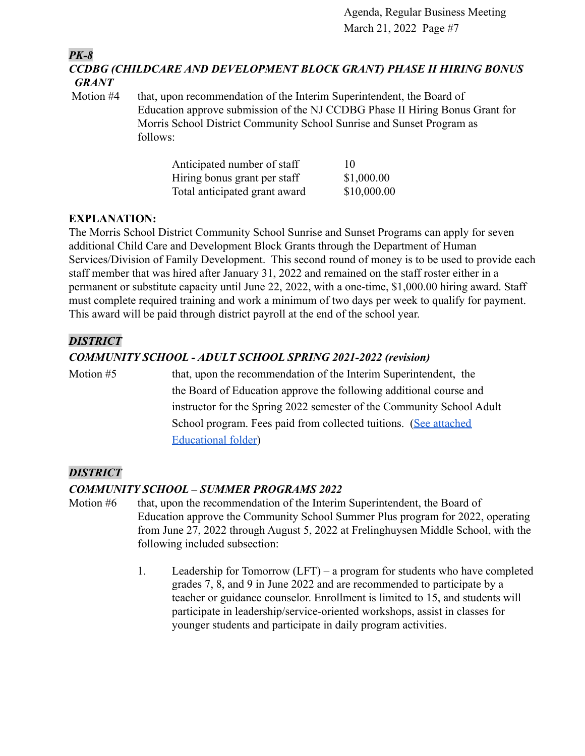*PK-8*

*CCDBG (CHILDCARE AND DEVELOPMENT BLOCK GRANT) PHASE II HIRING BONUS GRANT*

Motion #4 that, upon recommendation of the Interim Superintendent, the Board of Education approve submission of the NJ CCDBG Phase II Hiring Bonus Grant for Morris School District Community School Sunrise and Sunset Program as follows:

| Anticipated number of staff   | 10          |
|-------------------------------|-------------|
| Hiring bonus grant per staff  | \$1,000.00  |
| Total anticipated grant award | \$10,000.00 |

### **EXPLANATION:**

The Morris School District Community School Sunrise and Sunset Programs can apply for seven additional Child Care and Development Block Grants through the Department of Human Services/Division of Family Development. This second round of money is to be used to provide each staff member that was hired after January 31, 2022 and remained on the staff roster either in a permanent or substitute capacity until June 22, 2022, with a one-time, \$1,000.00 hiring award. Staff must complete required training and work a minimum of two days per week to qualify for payment. This award will be paid through district payroll at the end of the school year.

### *DISTRICT*

### *COMMUNITY SCHOOL - ADULT SCHOOL SPRING 2021-2022 (revision)*

Motion #5 that, upon the recommendation of the Interim Superintendent, the the Board of Education approve the following additional course and instructor for the Spring 2022 semester of the Community School Adult School program. Fees paid from collected tuitions. [\(See attached](https://docs.google.com/document/d/1nSqYda4jzKKKeIfhmLA8cAF_cOuXP6oS/edit?usp=sharing&ouid=100328447019194517303&rtpof=true&sd=true) [Educational folder\)](https://docs.google.com/document/d/1nSqYda4jzKKKeIfhmLA8cAF_cOuXP6oS/edit?usp=sharing&ouid=100328447019194517303&rtpof=true&sd=true)

### *DISTRICT*

### *COMMUNITY SCHOOL – SUMMER PROGRAMS 2022*

- Motion #6 that, upon the recommendation of the Interim Superintendent, the Board of Education approve the Community School Summer Plus program for 2022, operating from June 27, 2022 through August 5, 2022 at Frelinghuysen Middle School, with the following included subsection:
	- 1. Leadership for Tomorrow (LFT) a program for students who have completed grades 7, 8, and 9 in June 2022 and are recommended to participate by a teacher or guidance counselor. Enrollment is limited to 15, and students will participate in leadership/service-oriented workshops, assist in classes for younger students and participate in daily program activities.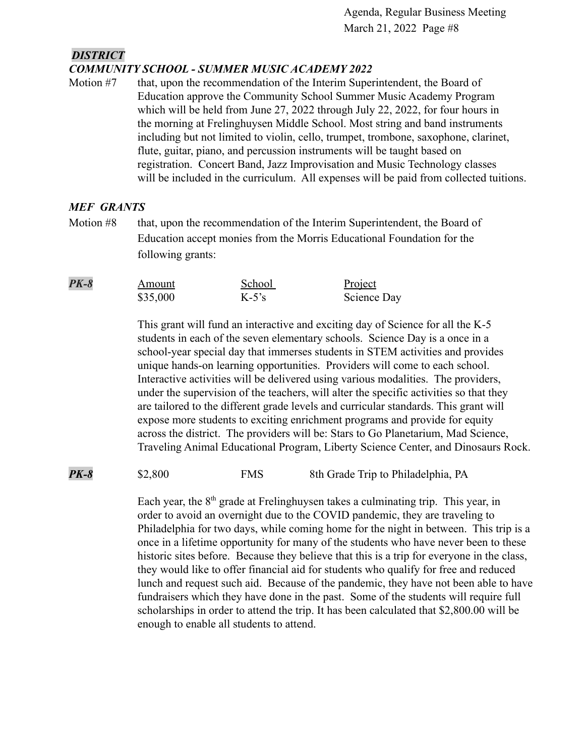#### *DISTRICT COMMUNITY SCHOOL - SUMMER MUSIC ACADEMY 2022*

Motion #7 that, upon the recommendation of the Interim Superintendent, the Board of Education approve the Community School Summer Music Academy Program which will be held from June 27, 2022 through July 22, 2022, for four hours in the morning at Frelinghuysen Middle School. Most string and band instruments including but not limited to violin, cello, trumpet, trombone, saxophone, clarinet, flute, guitar, piano, and percussion instruments will be taught based on registration. Concert Band, Jazz Improvisation and Music Technology classes will be included in the curriculum. All expenses will be paid from collected tuitions.

### *MEF GRANTS*

Motion #8 that, upon the recommendation of the Interim Superintendent, the Board of Education accept monies from the Morris Educational Foundation for the following grants:

| $PK-8$ | Amount   | School   | Project     |
|--------|----------|----------|-------------|
|        | \$35,000 | $K-5$ 's | Science Day |

This grant will fund an interactive and exciting day of Science for all the K-5 students in each of the seven elementary schools. Science Day is a once in a school-year special day that immerses students in STEM activities and provides unique hands-on learning opportunities. Providers will come to each school. Interactive activities will be delivered using various modalities. The providers, under the supervision of the teachers, will alter the specific activities so that they are tailored to the different grade levels and curricular standards. This grant will expose more students to exciting enrichment programs and provide for equity across the district. The providers will be: Stars to Go Planetarium, Mad Science, Traveling Animal Educational Program, Liberty Science Center, and Dinosaurs Rock.

**PK-8** \$2,800 FMS 8th Grade Trip to Philadelphia, PA

Each year, the  $8<sup>th</sup>$  grade at Frelinghuysen takes a culminating trip. This year, in order to avoid an overnight due to the COVID pandemic, they are traveling to Philadelphia for two days, while coming home for the night in between. This trip is a once in a lifetime opportunity for many of the students who have never been to these historic sites before. Because they believe that this is a trip for everyone in the class, they would like to offer financial aid for students who qualify for free and reduced lunch and request such aid. Because of the pandemic, they have not been able to have fundraisers which they have done in the past. Some of the students will require full scholarships in order to attend the trip. It has been calculated that \$2,800.00 will be enough to enable all students to attend.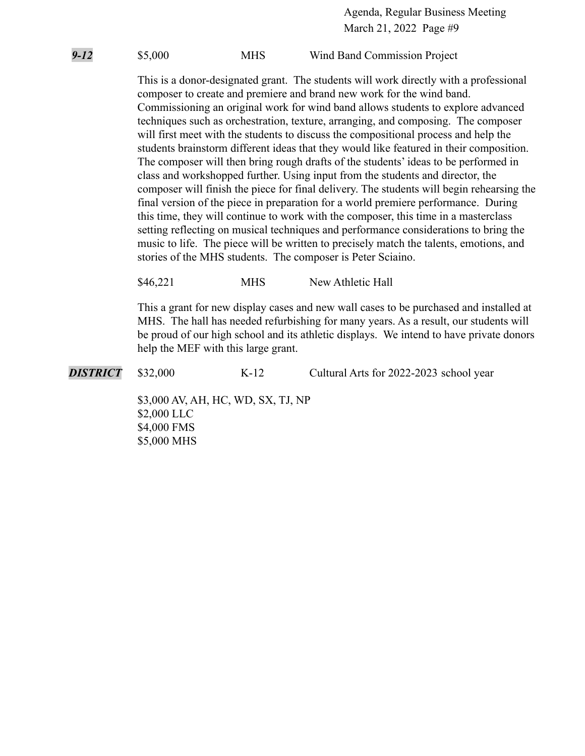*9-12* \$5,000 MHS Wind Band Commission Project

This is a donor-designated grant. The students will work directly with a professional composer to create and premiere and brand new work for the wind band. Commissioning an original work for wind band allows students to explore advanced techniques such as orchestration, texture, arranging, and composing. The composer will first meet with the students to discuss the compositional process and help the students brainstorm different ideas that they would like featured in their composition. The composer will then bring rough drafts of the students' ideas to be performed in class and workshopped further. Using input from the students and director, the composer will finish the piece for final delivery. The students will begin rehearsing the final version of the piece in preparation for a world premiere performance. During this time, they will continue to work with the composer, this time in a masterclass setting reflecting on musical techniques and performance considerations to bring the music to life. The piece will be written to precisely match the talents, emotions, and stories of the MHS students. The composer is Peter Sciaino.

\$46,221 MHS New Athletic Hall

This a grant for new display cases and new wall cases to be purchased and installed at MHS. The hall has needed refurbishing for many years. As a result, our students will be proud of our high school and its athletic displays. We intend to have private donors help the MEF with this large grant.

**DISTRICT** \$32,000 K-12 Cultural Arts for 2022-2023 school year

\$3,000 AV, AH, HC, WD, SX, TJ, NP \$2,000 LLC \$4,000 FMS \$5,000 MHS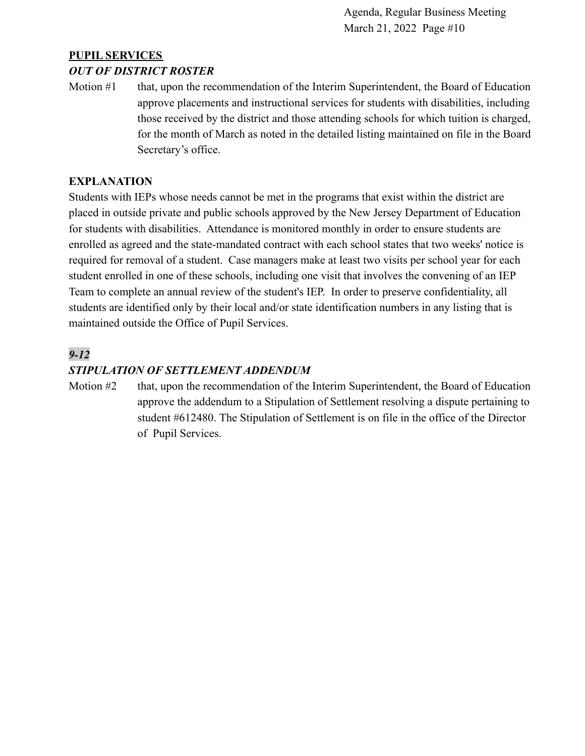### **PUPIL SERVICES**

#### *OUT OF DISTRICT ROSTER*

Motion #1 that, upon the recommendation of the Interim Superintendent, the Board of Education approve placements and instructional services for students with disabilities, including those received by the district and those attending schools for which tuition is charged, for the month of March as noted in the detailed listing maintained on file in the Board Secretary's office.

#### **EXPLANATION**

Students with IEPs whose needs cannot be met in the programs that exist within the district are placed in outside private and public schools approved by the New Jersey Department of Education for students with disabilities. Attendance is monitored monthly in order to ensure students are enrolled as agreed and the state-mandated contract with each school states that two weeks' notice is required for removal of a student. Case managers make at least two visits per school year for each student enrolled in one of these schools, including one visit that involves the convening of an IEP Team to complete an annual review of the student's IEP. In order to preserve confidentiality, all students are identified only by their local and/or state identification numbers in any listing that is maintained outside the Office of Pupil Services.

### *9-12*

### *STIPULATION OF SETTLEMENT ADDENDUM*

Motion #2 that, upon the recommendation of the Interim Superintendent, the Board of Education approve the addendum to a Stipulation of Settlement resolving a dispute pertaining to student #612480. The Stipulation of Settlement is on file in the office of the Director of Pupil Services.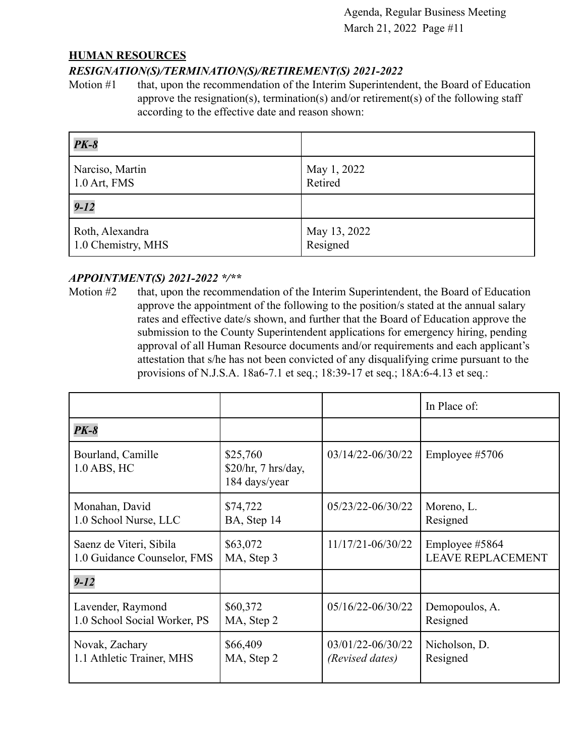#### **HUMAN RESOURCES**

#### *RESIGNATION(S)/TERMINATION(S)/RETIREMENT(S) 2021-2022*

Motion #1 that, upon the recommendation of the Interim Superintendent, the Board of Education approve the resignation(s), termination(s) and/or retirement(s) of the following staff according to the effective date and reason shown:

| $PK-8$             |              |
|--------------------|--------------|
| Narciso, Martin    | May 1, 2022  |
| $1.0$ Art, FMS     | Retired      |
| $9 - 12$           |              |
| Roth, Alexandra    | May 13, 2022 |
| 1.0 Chemistry, MHS | Resigned     |

#### *APPOINTMENT(S) 2021-2022 \*/\*\**

Motion #2 that, upon the recommendation of the Interim Superintendent, the Board of Education approve the appointment of the following to the position/s stated at the annual salary rates and effective date/s shown, and further that the Board of Education approve the submission to the County Superintendent applications for emergency hiring, pending approval of all Human Resource documents and/or requirements and each applicant's attestation that s/he has not been convicted of any disqualifying crime pursuant to the provisions of N.J.S.A. 18a6-7.1 et seq.; 18:39-17 et seq.; 18A:6-4.13 et seq.:

|                                  |                                                  |                       | In Place of:      |
|----------------------------------|--------------------------------------------------|-----------------------|-------------------|
| <b>PK-8</b>                      |                                                  |                       |                   |
| Bourland, Camille<br>1.0 ABS, HC | \$25,760<br>\$20/hr, 7 hrs/day,<br>184 days/year | 03/14/22-06/30/22     | Employee #5706    |
| Monahan, David                   | \$74,722                                         | 05/23/22-06/30/22     | Moreno, L.        |
| 1.0 School Nurse, LLC            | BA, Step 14                                      |                       | Resigned          |
| Saenz de Viteri, Sibila          | \$63,072                                         | 11/17/21-06/30/22     | Employee #5864    |
| 1.0 Guidance Counselor, FMS      | MA, Step 3                                       |                       | LEAVE REPLACEMENT |
| $9 - 12$                         |                                                  |                       |                   |
| Lavender, Raymond                | \$60,372                                         | $05/16/22 - 06/30/22$ | Demopoulos, A.    |
| 1.0 School Social Worker, PS     | MA, Step 2                                       |                       | Resigned          |
| Novak, Zachary                   | \$66,409                                         | 03/01/22-06/30/22     | Nicholson, D.     |
| 1.1 Athletic Trainer, MHS        | MA, Step 2                                       | (Revised dates)       | Resigned          |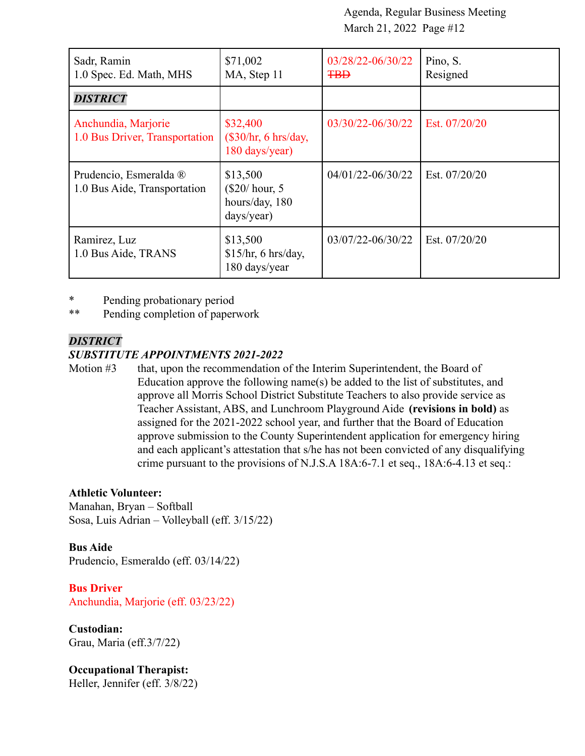| Sadr, Ramin<br>1.0 Spec. Ed. Math, MHS                 | \$71,002<br>MA, Step 11                                     | 03/28/22-06/30/22<br><b>TBD</b> | Pino, S.<br>Resigned |
|--------------------------------------------------------|-------------------------------------------------------------|---------------------------------|----------------------|
| <b>DISTRICT</b>                                        |                                                             |                                 |                      |
| Anchundia, Marjorie<br>1.0 Bus Driver, Transportation  | \$32,400<br>$(\$30/hr, 6 hrs/day,$<br>180 days/year)        | 03/30/22-06/30/22               | Est. 07/20/20        |
| Prudencio, Esmeralda ®<br>1.0 Bus Aide, Transportation | \$13,500<br>$(\$20/hour, 5$<br>hours/day, 180<br>days/year) | $04/01/22 - 06/30/22$           | Est. 07/20/20        |
| Ramirez, Luz<br>1.0 Bus Aide, TRANS                    | \$13,500<br>\$15/hr, 6 hrs/day,<br>180 days/year            | 03/07/22-06/30/22               | Est. 07/20/20        |

\* Pending probationary period

\*\* Pending completion of paperwork

#### *DISTRICT*

#### *SUBSTITUTE APPOINTMENTS 2021-2022*

Motion #3 that, upon the recommendation of the Interim Superintendent, the Board of Education approve the following name(s) be added to the list of substitutes, and approve all Morris School District Substitute Teachers to also provide service as Teacher Assistant, ABS, and Lunchroom Playground Aide **(revisions in bold)** as assigned for the 2021-2022 school year, and further that the Board of Education approve submission to the County Superintendent application for emergency hiring and each applicant's attestation that s/he has not been convicted of any disqualifying crime pursuant to the provisions of N.J.S.A 18A:6-7.1 et seq., 18A:6-4.13 et seq.:

#### **Athletic Volunteer:**

Manahan, Bryan – Softball Sosa, Luis Adrian – Volleyball (eff. 3/15/22)

**Bus Aide** Prudencio, Esmeraldo (eff. 03/14/22)

**Bus Driver** Anchundia, Marjorie (eff. 03/23/22)

**Custodian:** Grau, Maria (eff.3/7/22)

**Occupational Therapist:** Heller, Jennifer (eff. 3/8/22)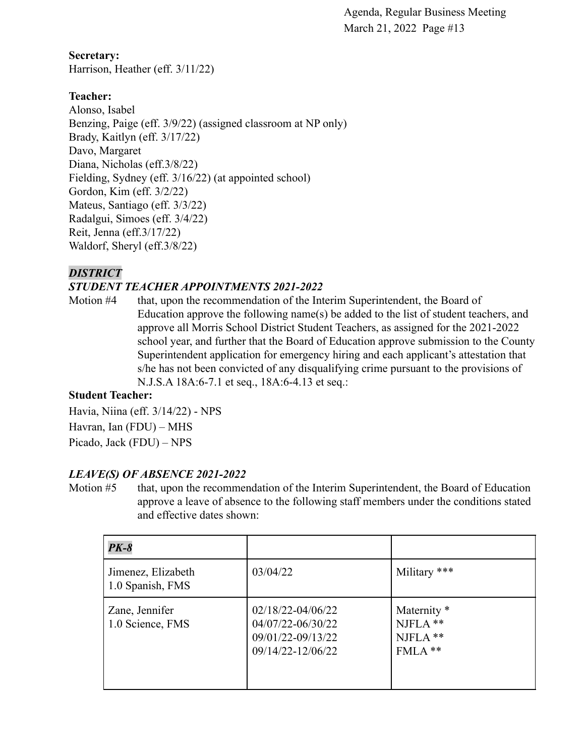**Secretary:** Harrison, Heather (eff. 3/11/22)

### **Teacher:**

Alonso, Isabel Benzing, Paige (eff. 3/9/22) (assigned classroom at NP only) Brady, Kaitlyn (eff. 3/17/22) Davo, Margaret Diana, Nicholas (eff.3/8/22) Fielding, Sydney (eff. 3/16/22) (at appointed school) Gordon, Kim (eff. 3/2/22) Mateus, Santiago (eff. 3/3/22) Radalgui, Simoes (eff. 3/4/22) Reit, Jenna (eff.3/17/22) Waldorf, Sheryl (eff.3/8/22)

### *DISTRICT*

### *STUDENT TEACHER APPOINTMENTS 2021-2022*

Motion #4 that, upon the recommendation of the Interim Superintendent, the Board of Education approve the following name(s) be added to the list of student teachers, and approve all Morris School District Student Teachers, as assigned for the 2021-2022 school year, and further that the Board of Education approve submission to the County Superintendent application for emergency hiring and each applicant's attestation that s/he has not been convicted of any disqualifying crime pursuant to the provisions of N.J.S.A 18A:6-7.1 et seq., 18A:6-4.13 et seq.:

#### **Student Teacher:**

Havia, Niina (eff. 3/14/22) - NPS Havran, Ian (FDU) – MHS Picado, Jack (FDU) – NPS

#### *LEAVE(S) OF ABSENCE 2021-2022*

Motion #5 that, upon the recommendation of the Interim Superintendent, the Board of Education approve a leave of absence to the following staff members under the conditions stated and effective dates shown:

| <b>PK-8</b>                            |                                                                                      |                                                            |
|----------------------------------------|--------------------------------------------------------------------------------------|------------------------------------------------------------|
| Jimenez, Elizabeth<br>1.0 Spanish, FMS | 03/04/22                                                                             | Military ***                                               |
| Zane, Jennifer<br>1.0 Science, FMS     | $02/18/22 - 04/06/22$<br>04/07/22-06/30/22<br>09/01/22-09/13/22<br>09/14/22-12/06/22 | Maternity <sup>*</sup><br>$NIFLA$ **<br>NJFLA **<br>FMLA** |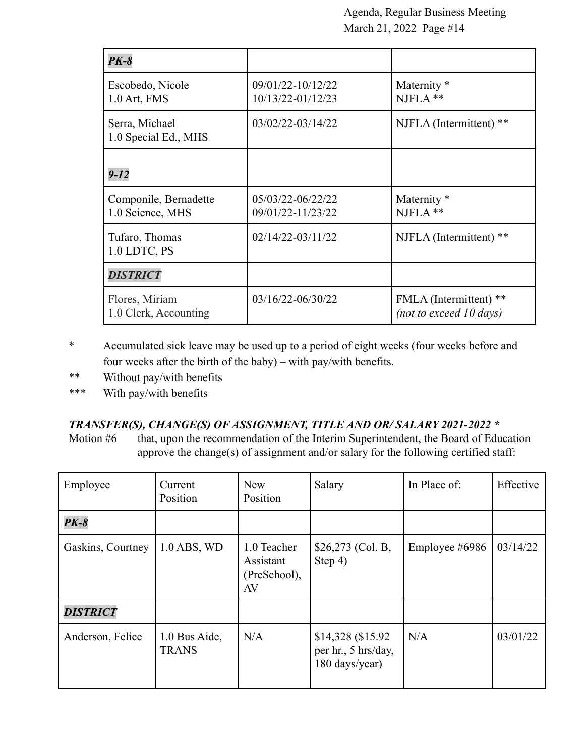| $PK-8$                                    |                                            |                                                     |
|-------------------------------------------|--------------------------------------------|-----------------------------------------------------|
| Escobedo, Nicole<br>1.0 Art, FMS          | 09/01/22-10/12/22<br>$10/13/22 - 01/12/23$ | Maternity <sup>*</sup><br>$NIFLA$ **                |
| Serra, Michael<br>1.0 Special Ed., MHS    | 03/02/22-03/14/22                          | NJFLA (Intermittent) **                             |
| $9 - 12$                                  |                                            |                                                     |
| Componile, Bernadette<br>1.0 Science, MHS | 05/03/22-06/22/22<br>09/01/22-11/23/22     | Maternity <sup>*</sup><br>$NIFLA$ **                |
| Tufaro, Thomas<br>1.0 LDTC, PS            | $02/14/22 - 03/11/22$                      | NJFLA (Intermittent) **                             |
| <b>DISTRICT</b>                           |                                            |                                                     |
| Flores, Miriam<br>1.0 Clerk, Accounting   | 03/16/22-06/30/22                          | FMLA (Intermittent) **<br>(not to exceed $10$ days) |

- \* Accumulated sick leave may be used up to a period of eight weeks (four weeks before and four weeks after the birth of the baby) – with pay/with benefits.
- \*\* Without pay/with benefits
- \*\*\* With pay/with benefits

### *TRANSFER(S), CHANGE(S) OF ASSIGNMENT, TITLE AND OR/ SALARY 2021-2022 \**

Motion #6 that, upon the recommendation of the Interim Superintendent, the Board of Education approve the change(s) of assignment and/or salary for the following certified staff:

| Employee          | Current<br>Position           | <b>New</b><br>Position                         | Salary                                                      | In Place of:   | Effective |
|-------------------|-------------------------------|------------------------------------------------|-------------------------------------------------------------|----------------|-----------|
| $PK-8$            |                               |                                                |                                                             |                |           |
| Gaskins, Courtney | $1.0$ ABS, WD                 | 1.0 Teacher<br>Assistant<br>(PreSchool),<br>AV | $$26,273$ (Col. B,<br>Step 4)                               | Employee #6986 | 03/14/22  |
| <b>DISTRICT</b>   |                               |                                                |                                                             |                |           |
| Anderson, Felice  | 1.0 Bus Aide,<br><b>TRANS</b> | N/A                                            | \$14,328 (\$15.92)<br>per hr., 5 hrs/day,<br>180 days/year) | N/A            | 03/01/22  |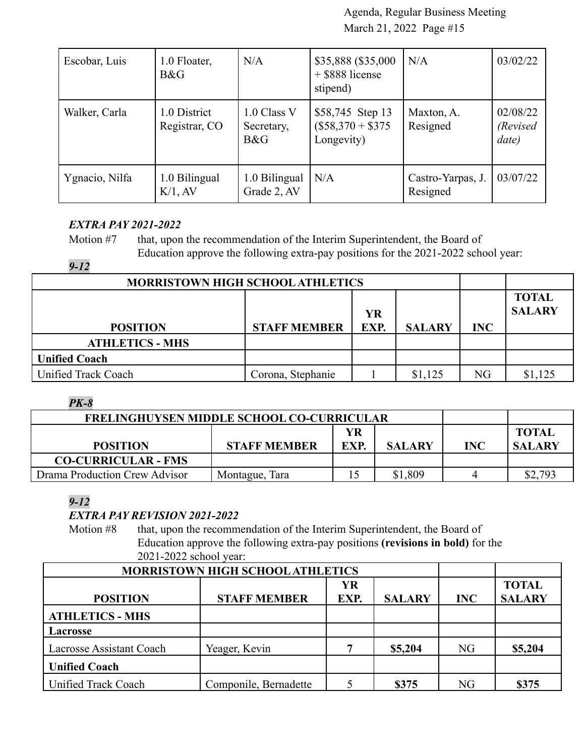| Escobar, Luis  | 1.0 Floater,<br>B&G           | N/A                              | \$35,888 (\$35,000<br>+ \$888 license<br>stipend)   | N/A                           | 03/02/22                       |
|----------------|-------------------------------|----------------------------------|-----------------------------------------------------|-------------------------------|--------------------------------|
| Walker, Carla  | 1.0 District<br>Registrar, CO | 1.0 Class V<br>Secretary,<br>B&G | \$58,745 Step 13<br>$($58,370 + $375$<br>Longevity) | Maxton, A.<br>Resigned        | 02/08/22<br>(Revised)<br>date) |
| Ygnacio, Nilfa | 1.0 Bilingual<br>$K/1$ , AV   | 1.0 Bilingual<br>Grade 2, AV     | N/A                                                 | Castro-Yarpas, J.<br>Resigned | 03/07/22                       |

### *EXTRA PAY 2021-2022*

Motion #7 that, upon the recommendation of the Interim Superintendent, the Board of Education approve the following extra-pay positions for the 2021-2022 school year:

### *9-12*

| <b>MORRISTOWN HIGH SCHOOL ATHLETICS</b> |                   |                               |         |    |         |
|-----------------------------------------|-------------------|-------------------------------|---------|----|---------|
| <b>POSITION</b>                         | <b>INC</b>        | <b>TOTAL</b><br><b>SALARY</b> |         |    |         |
| <b>ATHLETICS - MHS</b>                  |                   |                               |         |    |         |
| <b>Unified Coach</b>                    |                   |                               |         |    |         |
| Unified Track Coach                     | Corona, Stephanie |                               | \$1,125 | NG | \$1,125 |

#### *PK-8*

| <b>FRELINGHUYSEN MIDDLE SCHOOL CO-CURRICULAR</b> |                     |            |               |            |                               |
|--------------------------------------------------|---------------------|------------|---------------|------------|-------------------------------|
| <b>POSITION</b>                                  | <b>STAFF MEMBER</b> | YR<br>EXP. | <b>SALARY</b> | <b>INC</b> | <b>TOTAL</b><br><b>SALARY</b> |
| <b>CO-CURRICULAR - FMS</b>                       |                     |            |               |            |                               |
| Drama Production Crew Advisor                    | Montague, Tara      |            | \$1,809       |            | \$2,793                       |

### *9-12*

### *EXTRA PAY REVISION 2021-2022*

Motion #8 that, upon the recommendation of the Interim Superintendent, the Board of Education approve the following extra-pay positions **(revisions in bold)** for the 2021-2022 school year:

| <b>MORRISTOWN HIGH SCHOOL ATHLETICS</b> |                       |           |               |            |               |
|-----------------------------------------|-----------------------|-----------|---------------|------------|---------------|
|                                         |                       | <b>YR</b> |               |            | <b>TOTAL</b>  |
| <b>POSITION</b>                         | <b>STAFF MEMBER</b>   | EXP.      | <b>SALARY</b> | <b>INC</b> | <b>SALARY</b> |
| <b>ATHLETICS - MHS</b>                  |                       |           |               |            |               |
| <b>Lacrosse</b>                         |                       |           |               |            |               |
| Lacrosse Assistant Coach                | Yeager, Kevin         |           | \$5,204       | <b>NG</b>  | \$5,204       |
| <b>Unified Coach</b>                    |                       |           |               |            |               |
| Unified Track Coach                     | Componile, Bernadette |           | \$375         | NG         | \$375         |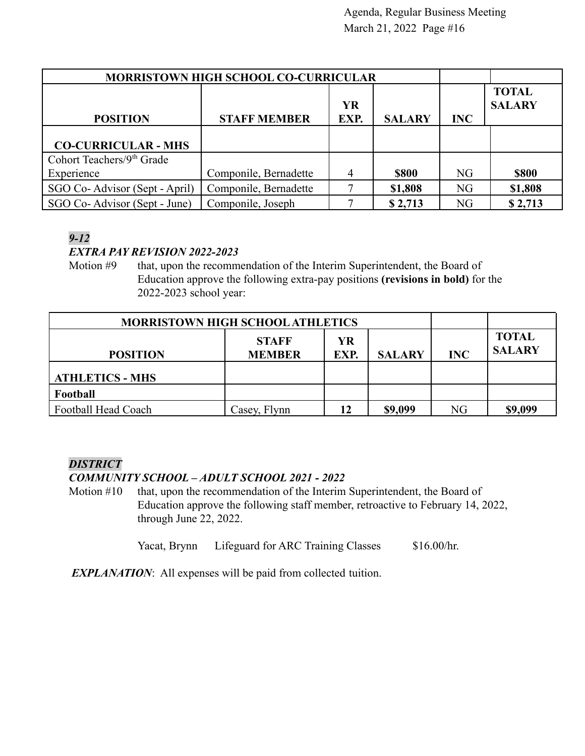| <b>MORRISTOWN HIGH SCHOOL CO-CURRICULAR</b> |                       |                |               |            |                               |
|---------------------------------------------|-----------------------|----------------|---------------|------------|-------------------------------|
|                                             |                       | <b>YR</b>      |               |            | <b>TOTAL</b><br><b>SALARY</b> |
| <b>POSITION</b>                             | <b>STAFF MEMBER</b>   | EXP.           | <b>SALARY</b> | <b>INC</b> |                               |
| <b>CO-CURRICULAR - MHS</b>                  |                       |                |               |            |                               |
| Cohort Teachers/ $9th$ Grade                |                       |                |               |            |                               |
| Experience                                  | Componile, Bernadette | $\overline{4}$ | <b>\$800</b>  | <b>NG</b>  | <b>\$800</b>                  |
| SGO Co-Advisor (Sept - April)               | Componile, Bernadette |                | \$1,808       | <b>NG</b>  | \$1,808                       |
| SGO Co-Advisor (Sept - June)                | Componile, Joseph     |                | \$2,713       | NG         | \$2,713                       |

### *9-12*

### *EXTRA PAY REVISION 2022-2023*

Motion #9 that, upon the recommendation of the Interim Superintendent, the Board of Education approve the following extra-pay positions **(revisions in bold)** for the 2022-2023 school year:

| <b>MORRISTOWN HIGH SCHOOL ATHLETICS</b> |                               |            |               |            |                               |
|-----------------------------------------|-------------------------------|------------|---------------|------------|-------------------------------|
| <b>POSITION</b>                         | <b>STAFF</b><br><b>MEMBER</b> | YR<br>EXP. | <b>SALARY</b> | <b>INC</b> | <b>TOTAL</b><br><b>SALARY</b> |
|                                         |                               |            |               |            |                               |
| <b>ATHLETICS - MHS</b>                  |                               |            |               |            |                               |
| Football                                |                               |            |               |            |                               |
| Football Head Coach                     | Casey, Flynn                  | 12         | \$9,099       | NG         | \$9,099                       |

### *DISTRICT*

### *COMMUNITY SCHOOL – ADULT SCHOOL 2021 - 2022*

Motion #10 that, upon the recommendation of the Interim Superintendent, the Board of Education approve the following staff member, retroactive to February 14, 2022, through June 22, 2022.

Yacat, Brynn Lifeguard for ARC Training Classes \$16.00/hr.

*EXPLANATION*: All expenses will be paid from collected tuition.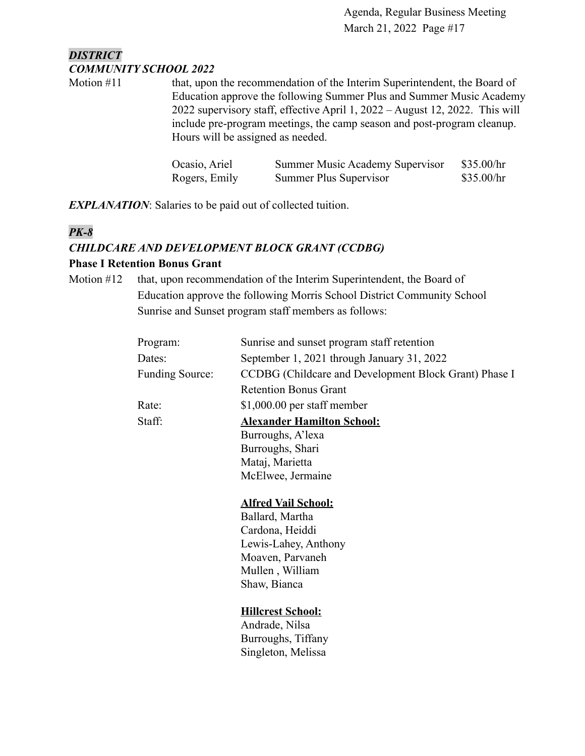### *DISTRICT COMMUNITY SCHOOL 2022*

Motion #11 that, upon the recommendation of the Interim Superintendent, the Board of Education approve the following Summer Plus and Summer Music Academy 2022 supervisory staff, effective April 1, 2022 – August 12, 2022. This will include pre-program meetings, the camp season and post-program cleanup. Hours will be assigned as needed.

| Ocasio, Ariel | Summer Music Academy Supervisor | \$35.00/hr |
|---------------|---------------------------------|------------|
| Rogers, Emily | Summer Plus Supervisor          | \$35.00/hr |

*EXPLANATION*: Salaries to be paid out of collected tuition.

### *PK-8*

### *CHILDCARE AND DEVELOPMENT BLOCK GRANT (CCDBG)*

#### **Phase I Retention Bonus Grant**

Motion #12 that, upon recommendation of the Interim Superintendent, the Board of Education approve the following Morris School District Community School Sunrise and Sunset program staff members as follows:

| Program:               | Sunrise and sunset program staff retention            |
|------------------------|-------------------------------------------------------|
| Dates:                 | September 1, 2021 through January 31, 2022            |
| <b>Funding Source:</b> | CCDBG (Childcare and Development Block Grant) Phase I |
|                        | <b>Retention Bonus Grant</b>                          |
| Rate:                  | $$1,000.00$ per staff member                          |
| Staff:                 | <b>Alexander Hamilton School:</b>                     |
|                        | Burroughs, A'lexa                                     |
|                        | Burroughs, Shari                                      |
|                        | Mataj, Marietta                                       |
|                        | McElwee, Jermaine                                     |
|                        |                                                       |
|                        | <b>Alfred Vail School:</b>                            |
|                        | Ballard, Martha                                       |
|                        | Cardona, Heiddi                                       |
|                        | Lewis-Lahey, Anthony                                  |
|                        | Moaven, Parvaneh                                      |
|                        | Mullen, William                                       |

**Hillcrest School:**

Shaw, Bianca

Andrade, Nilsa Burroughs, Tiffany Singleton, Melissa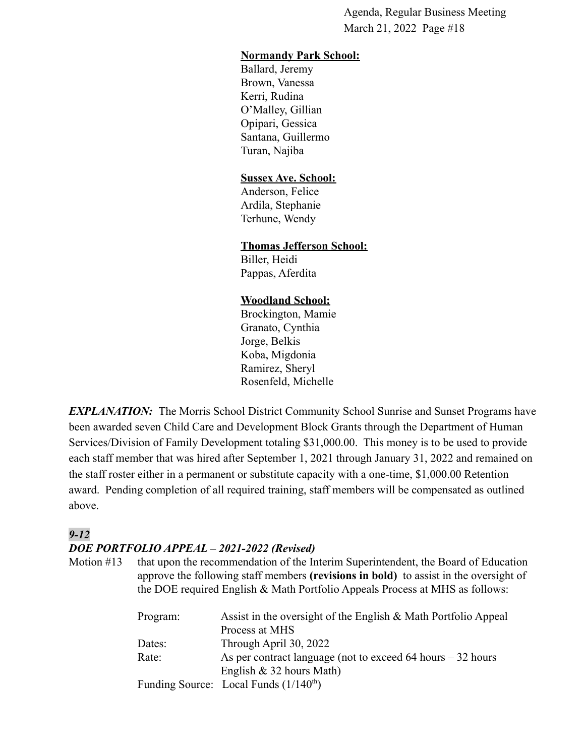#### **Normandy Park School:**

Ballard, Jeremy Brown, Vanessa Kerri, Rudina O'Malley, Gillian Opipari, Gessica Santana, Guillermo Turan, Najiba

#### **Sussex Ave. School:**

Anderson, Felice Ardila, Stephanie Terhune, Wendy

#### **Thomas Jefferson School:**

Biller, Heidi Pappas, Aferdita

#### **Woodland School:**

Brockington, Mamie Granato, Cynthia Jorge, Belkis Koba, Migdonia Ramirez, Sheryl Rosenfeld, Michelle

*EXPLANATION:* The Morris School District Community School Sunrise and Sunset Programs have been awarded seven Child Care and Development Block Grants through the Department of Human Services/Division of Family Development totaling \$31,000.00. This money is to be used to provide each staff member that was hired after September 1, 2021 through January 31, 2022 and remained on the staff roster either in a permanent or substitute capacity with a one-time, \$1,000.00 Retention award. Pending completion of all required training, staff members will be compensated as outlined above.

### *9-12*

#### *DOE PORTFOLIO APPEAL – 2021-2022 (Revised)*

Motion #13 that upon the recommendation of the Interim Superintendent, the Board of Education approve the following staff members **(revisions in bold)** to assist in the oversight of the DOE required English & Math Portfolio Appeals Process at MHS as follows:

| Assist in the oversight of the English & Math Portfolio Appeal<br>Program: |  |
|----------------------------------------------------------------------------|--|
| Process at MHS                                                             |  |
| Through April 30, 2022<br>Dates:                                           |  |
| As per contract language (not to exceed 64 hours $-32$ hours<br>Rate:      |  |
| English $& 32$ hours Math)                                                 |  |
| Funding Source: Local Funds $(1/140th)$                                    |  |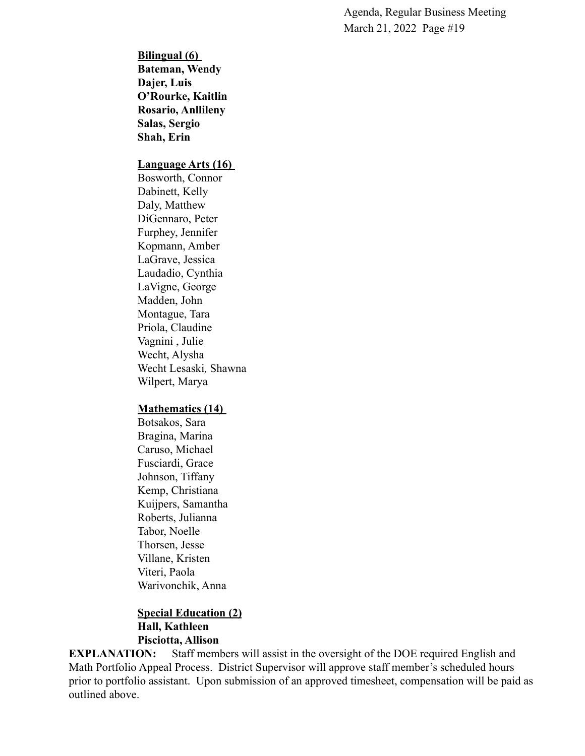**Bilingual (6) Bateman, Wendy Dajer, Luis O'Rourke, Kaitlin Rosario, Anllileny Salas, Sergio Shah, Erin**

#### **Language Arts (16)**

Bosworth, Connor Dabinett, Kelly Daly, Matthew DiGennaro, Peter Furphey, Jennifer Kopmann, Amber LaGrave, Jessica Laudadio, Cynthia LaVigne, George Madden, John Montague, Tara Priola, Claudine Vagnini , Julie Wecht, Alysha Wecht Lesaski*,* Shawna Wilpert, Marya

#### **Mathematics (14)**

Botsakos, Sara Bragina, Marina Caruso, Michael Fusciardi, Grace Johnson, Tiffany Kemp, Christiana Kuijpers, Samantha Roberts, Julianna Tabor, Noelle Thorsen, Jesse Villane, Kristen Viteri, Paola Warivonchik, Anna

#### **Special Education (2) Hall, Kathleen Pisciotta, Allison**

**EXPLANATION:** Staff members will assist in the oversight of the DOE required English and Math Portfolio Appeal Process. District Supervisor will approve staff member's scheduled hours prior to portfolio assistant. Upon submission of an approved timesheet, compensation will be paid as outlined above.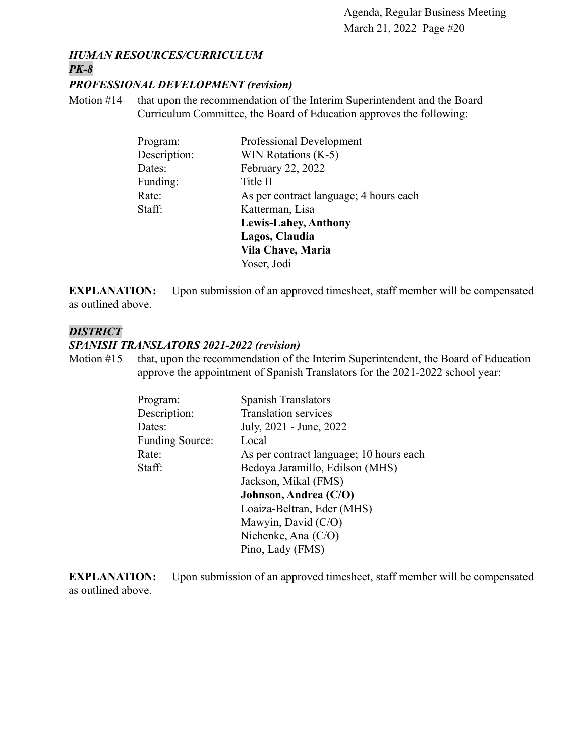#### *HUMAN RESOURCES/CURRICULUM PK-8*

#### *PROFESSIONAL DEVELOPMENT (revision)*

Motion #14 that upon the recommendation of the Interim Superintendent and the Board Curriculum Committee, the Board of Education approves the following:

| Professional Development               |
|----------------------------------------|
| WIN Rotations $(K-5)$                  |
| February 22, 2022                      |
| Title II                               |
| As per contract language; 4 hours each |
| Katterman, Lisa                        |
| <b>Lewis-Lahey, Anthony</b>            |
| Lagos, Claudia                         |
| Vila Chave, Maria                      |
| Yoser, Jodi                            |
|                                        |

**EXPLANATION:** Upon submission of an approved timesheet, staff member will be compensated as outlined above.

#### *DISTRICT*

#### *SPANISH TRANSLATORS 2021-2022 (revision)*

Motion #15 that, upon the recommendation of the Interim Superintendent, the Board of Education approve the appointment of Spanish Translators for the 2021-2022 school year:

| Program:               | <b>Spanish Translators</b>              |
|------------------------|-----------------------------------------|
| Description:           | <b>Translation services</b>             |
| Dates:                 | July, 2021 - June, 2022                 |
| <b>Funding Source:</b> | Local                                   |
| Rate:                  | As per contract language; 10 hours each |
| Staff:                 | Bedoya Jaramillo, Edilson (MHS)         |
|                        | Jackson, Mikal (FMS)                    |
|                        | Johnson, Andrea (C/O)                   |
|                        | Loaiza-Beltran, Eder (MHS)              |
|                        | Mawyin, David (C/O)                     |
|                        | Niehenke, Ana $(C/O)$                   |
|                        | Pino, Lady (FMS)                        |

**EXPLANATION:** Upon submission of an approved timesheet, staff member will be compensated as outlined above.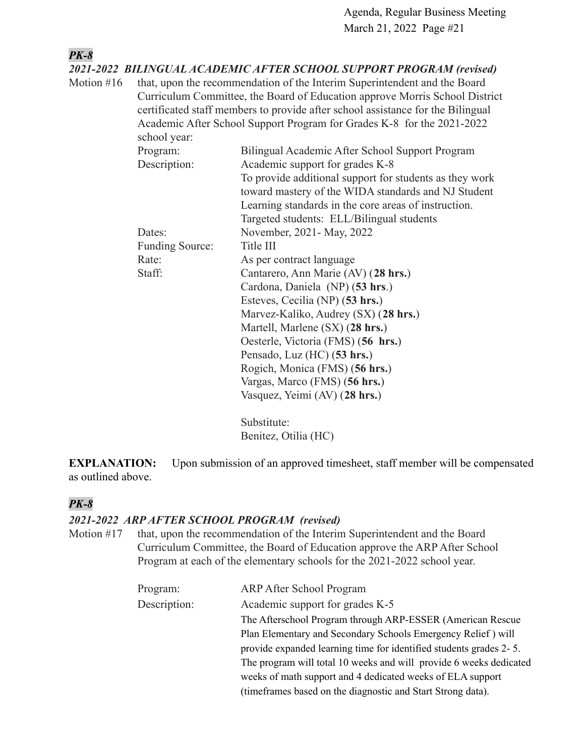| <b>PK-8</b> |                 |                                                                                                                                                                                                                                                                                                                       |
|-------------|-----------------|-----------------------------------------------------------------------------------------------------------------------------------------------------------------------------------------------------------------------------------------------------------------------------------------------------------------------|
|             |                 | 2021-2022 BILINGUAL ACADEMIC AFTER SCHOOL SUPPORT PROGRAM (revised)                                                                                                                                                                                                                                                   |
| Motion #16  | school year:    | that, upon the recommendation of the Interim Superintendent and the Board<br>Curriculum Committee, the Board of Education approve Morris School District<br>certificated staff members to provide after school assistance for the Bilingual<br>Academic After School Support Program for Grades K-8 for the 2021-2022 |
|             | Program:        | Bilingual Academic After School Support Program                                                                                                                                                                                                                                                                       |
|             | Description:    | Academic support for grades K-8                                                                                                                                                                                                                                                                                       |
|             |                 | To provide additional support for students as they work<br>toward mastery of the WIDA standards and NJ Student<br>Learning standards in the core areas of instruction.<br>Targeted students: ELL/Bilingual students                                                                                                   |
|             | Dates:          | November, 2021 - May, 2022                                                                                                                                                                                                                                                                                            |
|             | Funding Source: | Title III                                                                                                                                                                                                                                                                                                             |
|             | Rate:           | As per contract language                                                                                                                                                                                                                                                                                              |
|             | Staff:          | Cantarero, Ann Marie (AV) (28 hrs.)                                                                                                                                                                                                                                                                                   |
|             |                 | Cardona, Daniela (NP) (53 hrs.)                                                                                                                                                                                                                                                                                       |
|             |                 | Esteves, Cecilia (NP) (53 hrs.)                                                                                                                                                                                                                                                                                       |
|             |                 | Marvez-Kaliko, Audrey (SX) (28 hrs.)                                                                                                                                                                                                                                                                                  |
|             |                 | Martell, Marlene (SX) (28 hrs.)                                                                                                                                                                                                                                                                                       |
|             |                 | Oesterle, Victoria (FMS) (56 hrs.)                                                                                                                                                                                                                                                                                    |
|             |                 | Pensado, Luz (HC) (53 hrs.)                                                                                                                                                                                                                                                                                           |
|             |                 | Rogich, Monica (FMS) (56 hrs.)                                                                                                                                                                                                                                                                                        |
|             |                 | Vargas, Marco (FMS) (56 hrs.)                                                                                                                                                                                                                                                                                         |
|             |                 | Vasquez, Yeimi (AV) (28 hrs.)                                                                                                                                                                                                                                                                                         |
|             |                 | Substitute:                                                                                                                                                                                                                                                                                                           |
|             |                 | Benitez, Otilia (HC)                                                                                                                                                                                                                                                                                                  |

**EXPLANATION:** Upon submission of an approved timesheet, staff member will be compensated as outlined above.

### *PK-8*

### *2021-2022 ARP AFTER SCHOOL PROGRAM (revised)*

Motion #17 that, upon the recommendation of the Interim Superintendent and the Board Curriculum Committee, the Board of Education approve the ARP After School Program at each of the elementary schools for the 2021-2022 school year.

| Program:     | <b>ARP After School Program</b>                                    |
|--------------|--------------------------------------------------------------------|
| Description: | Academic support for grades K-5                                    |
|              | The Afterschool Program through ARP-ESSER (American Rescue         |
|              | Plan Elementary and Secondary Schools Emergency Relief) will       |
|              | provide expanded learning time for identified students grades 2-5. |
|              | The program will total 10 weeks and will provide 6 weeks dedicated |
|              | weeks of math support and 4 dedicated weeks of ELA support         |
|              | (time frames based on the diagnostic and Start Strong data).       |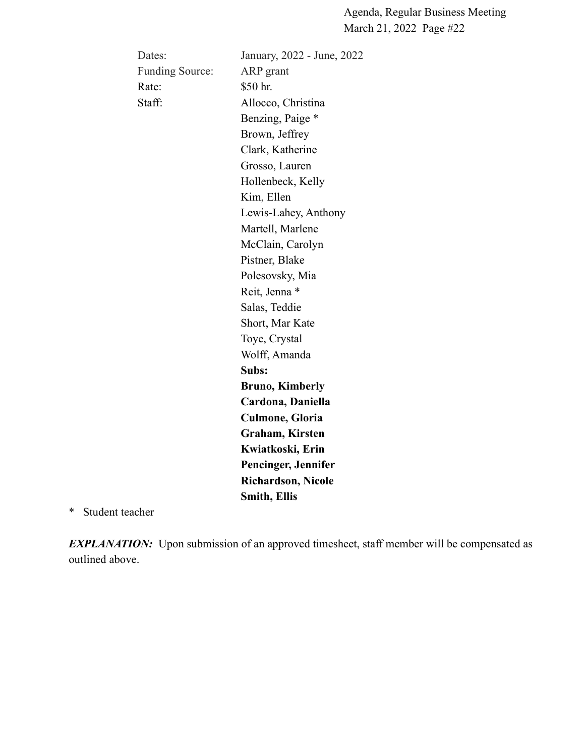| Dates:                 | January, 2022 - June, 2022 |
|------------------------|----------------------------|
| <b>Funding Source:</b> | ARP grant                  |
| Rate:                  | \$50 hr.                   |
| Staff:                 | Allocco, Christina         |
|                        | Benzing, Paige *           |
|                        | Brown, Jeffrey             |
|                        | Clark, Katherine           |
|                        | Grosso, Lauren             |
|                        | Hollenbeck, Kelly          |
|                        | Kim, Ellen                 |
|                        | Lewis-Lahey, Anthony       |
|                        | Martell, Marlene           |
|                        | McClain, Carolyn           |
|                        | Pistner, Blake             |
|                        | Polesovsky, Mia            |
|                        | Reit, Jenna *              |
|                        | Salas, Teddie              |
|                        | Short, Mar Kate            |
|                        | Toye, Crystal              |
|                        | Wolff, Amanda              |
|                        | Subs:                      |
|                        | <b>Bruno, Kimberly</b>     |
|                        | Cardona, Daniella          |
|                        | <b>Culmone, Gloria</b>     |
|                        | Graham, Kirsten            |
|                        | Kwiatkoski, Erin           |
|                        | Pencinger, Jennifer        |
|                        | <b>Richardson, Nicole</b>  |
|                        | <b>Smith, Ellis</b>        |

\* Student teacher

*EXPLANATION*: Upon submission of an approved timesheet, staff member will be compensated as outlined above.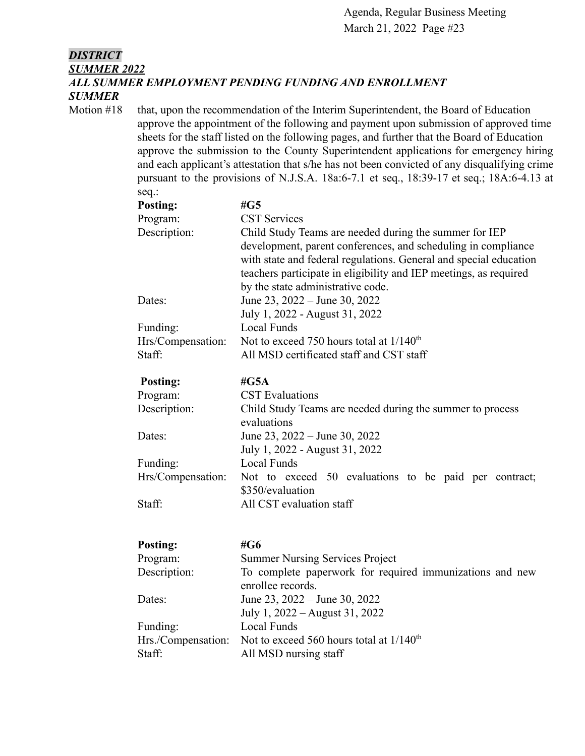### *DISTRICT SUMMER 2022 ALL SUMMER EMPLOYMENT PENDING FUNDING AND ENROLLMENT SUMMER*

Motion #18 that, upon the recommendation of the Interim Superintendent, the Board of Education approve the appointment of the following and payment upon submission of approved time sheets for the staff listed on the following pages, and further that the Board of Education approve the submission to the County Superintendent applications for emergency hiring and each applicant's attestation that s/he has not been convicted of any disqualifying crime pursuant to the provisions of N.J.S.A. 18a:6-7.1 et seq., 18:39-17 et seq.; 18A:6-4.13 at seq.:

| <b>Posting:</b>   | #G5                                                                                                                                                                                                                                                                                                    |
|-------------------|--------------------------------------------------------------------------------------------------------------------------------------------------------------------------------------------------------------------------------------------------------------------------------------------------------|
| Program:          | <b>CST Services</b>                                                                                                                                                                                                                                                                                    |
| Description:      | Child Study Teams are needed during the summer for IEP<br>development, parent conferences, and scheduling in compliance<br>with state and federal regulations. General and special education<br>teachers participate in eligibility and IEP meetings, as required<br>by the state administrative code. |
| Dates:            | June 23, $2022 -$ June 30, 2022<br>July 1, 2022 - August 31, 2022                                                                                                                                                                                                                                      |
| Funding:          | <b>Local Funds</b>                                                                                                                                                                                                                                                                                     |
| Hrs/Compensation: | Not to exceed 750 hours total at $1/140^{th}$                                                                                                                                                                                                                                                          |
| Staff:            | All MSD certificated staff and CST staff                                                                                                                                                                                                                                                               |

| <b>Posting:</b>   | # $G5A$                                                                   |  |  |
|-------------------|---------------------------------------------------------------------------|--|--|
| Program:          | <b>CST</b> Evaluations                                                    |  |  |
| Description:      | Child Study Teams are needed during the summer to process<br>evaluations  |  |  |
| Dates:            | June 23, $2022 -$ June 30, 2022<br>July 1, 2022 - August 31, 2022         |  |  |
| Funding:          | Local Funds                                                               |  |  |
| Hrs/Compensation: | Not to exceed 50 evaluations to be paid per contract;<br>\$350/evaluation |  |  |
| Staff:            | All CST evaluation staff                                                  |  |  |

| <b>Posting:</b>    | #G6                                                      |
|--------------------|----------------------------------------------------------|
| Program:           | <b>Summer Nursing Services Project</b>                   |
| Description:       | To complete paperwork for required immunizations and new |
|                    | enrollee records.                                        |
| Dates:             | June 23, $2022 -$ June 30, 2022                          |
|                    | July 1, 2022 – August 31, 2022                           |
| Funding:           | <b>Local Funds</b>                                       |
| Hrs./Compensation: | Not to exceed 560 hours total at $1/140^{th}$            |
| Staff:             | All MSD nursing staff                                    |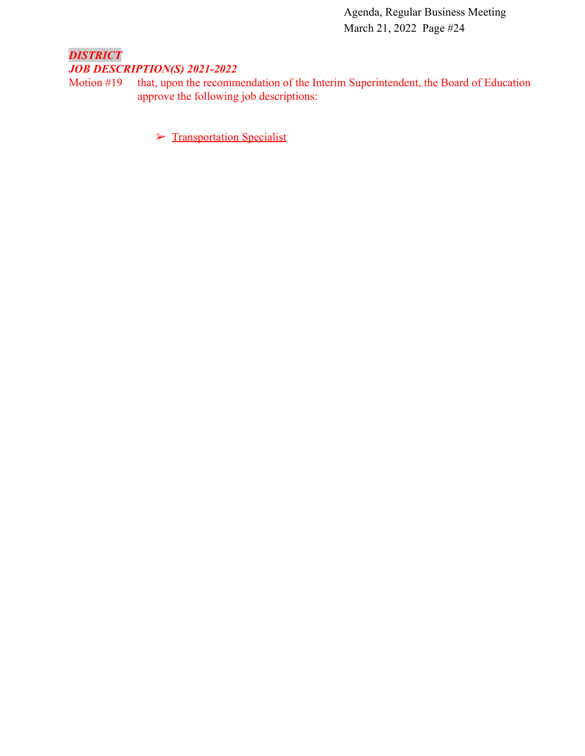### *DISTRICT JOB DESCRIPTION(S) 2021-2022*

Motion #19 that, upon the recommendation of the Interim Superintendent, the Board of Education approve the following job descriptions:

➢ [Transportation Specialist](https://drive.google.com/file/d/1dgX8OR5kmkPVOzBYWEva-OTSPnoD2wnD/view?usp=sharing)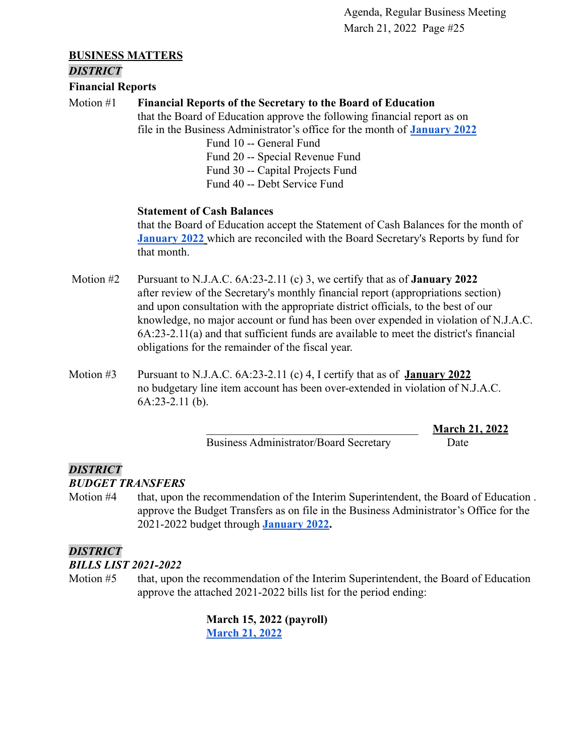#### **BUSINESS MATTERS**

#### *DISTRICT*

**Financial Reports**

### Motion #1 **Financial Reports of the Secretary to the Board of Education**

that the Board of Education approve the following financial report as on file in the Business Administrator's office for the month of **[January 2022](https://drive.google.com/file/d/1Y32llEyjAl7W5WsoEwkdu6d6Bj2qbE18/view?usp=sharing)**

> Fund 10 -- General Fund Fund 20 -- Special Revenue Fund Fund 30 -- Capital Projects Fund Fund 40 -- Debt Service Fund

#### **Statement of Cash Balances**

that the Board of Education accept the Statement of Cash Balances for the month of **[January 2022](https://drive.google.com/file/d/1OHQ185gVxTkZQcxLpVJK17X78etHTV7z/view?usp=sharing)** which are reconciled with the Board Secretary's Reports by fund for that month.

- Motion #2 Pursuant to N.J.A.C. 6A:23-2.11 (c) 3, we certify that as of **January 2022** after review of the Secretary's monthly financial report (appropriations section) and upon consultation with the appropriate district officials, to the best of our knowledge, no major account or fund has been over expended in violation of N.J.A.C. 6A:23-2.11(a) and that sufficient funds are available to meet the district's financial obligations for the remainder of the fiscal year.
- Motion #3 Pursuant to N.J.A.C. 6A:23-2.11 (c) 4, I certify that as of **January 2022** no budgetary line item account has been over-extended in violation of N.J.A.C. 6A:23-2.11 (b).

Business Administrator/Board Secretary Date

\_\_\_\_\_\_\_\_\_\_\_\_\_\_\_\_\_\_\_\_\_\_\_\_\_\_\_\_\_\_\_\_\_\_\_\_\_ **March 21, 2022**

# *DISTRICT*

*BUDGET TRANSFERS*

Motion #4 that, upon the recommendation of the Interim Superintendent, the Board of Education . approve the Budget Transfers as on file in the Business Administrator's Office for the 2021-2022 budget through **[January 2022.](https://drive.google.com/file/d/1UHBwJn8FWB0f011ZkX9YyyH4tLbyLuKO/view?usp=sharing)**

### *DISTRICT*

*BILLS LIST 2021-2022*

Motion #5 that, upon the recommendation of the Interim Superintendent, the Board of Education approve the attached 2021-2022 bills list for the period ending:

> **March 15, 2022 (payroll) [March 21, 2022](https://drive.google.com/file/d/1yJvq2di58xGe3d0esN7BmGhlt4hsCTkX/view?usp=sharing)**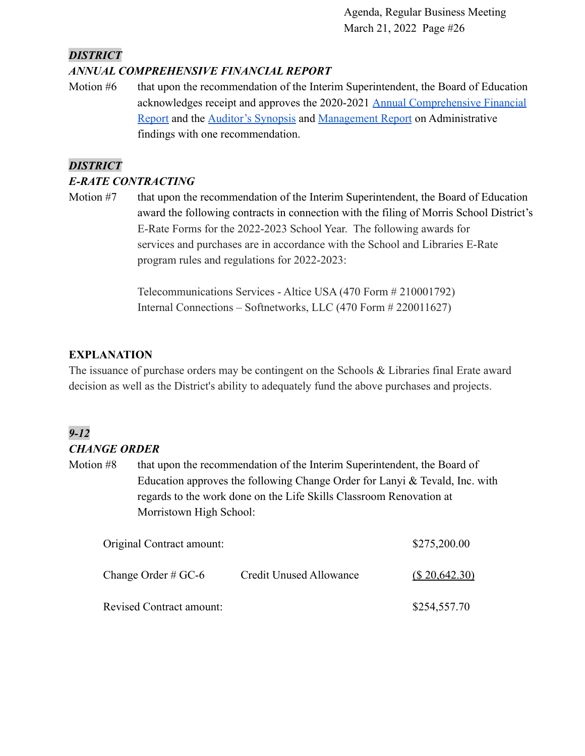### *DISTRICT*

### *ANNUAL COMPREHENSIVE FINANCIAL REPORT*

Motion #6 that upon the recommendation of the Interim Superintendent, the Board of Education acknowledges receipt and approves the 2020-2021 Annual [Comprehensive Financial](https://drive.google.com/file/d/1djbllXSRrao84hnbCWCv2jEljtwt56CT/view?usp=sharing) [Report](https://drive.google.com/file/d/1djbllXSRrao84hnbCWCv2jEljtwt56CT/view?usp=sharing) and the [Auditor's Synopsis](https://drive.google.com/file/d/1hbZKPfWGbvJphEzvLMeQh2qiN6go_B4V/view?usp=sharing) and [Management Report](https://drive.google.com/file/d/1mxcr04gO5yBroUFXcOReMkNNNTuP0KtH/view?usp=sharing) on Administrative findings with one recommendation.

### *DISTRICT*

### *E-RATE CONTRACTING*

Motion #7 that upon the recommendation of the Interim Superintendent, the Board of Education award the following contracts in connection with the filing of Morris School District's E-Rate Forms for the 2022-2023 School Year. The following awards for services and purchases are in accordance with the School and Libraries E-Rate program rules and regulations for 2022-2023:

> Telecommunications Services - Altice USA (470 Form # 210001792) Internal Connections – Softnetworks, LLC (470 Form # 220011627)

### **EXPLANATION**

The issuance of purchase orders may be contingent on the Schools & Libraries final Erate award decision as well as the District's ability to adequately fund the above purchases and projects.

## *9-12*

### *CHANGE ORDER*

Motion #8 that upon the recommendation of the Interim Superintendent, the Board of Education approves the following Change Order for Lanyi & Tevald, Inc. with regards to the work done on the Life Skills Classroom Renovation at Morristown High School:

| Original Contract amount:       | \$275,200.00                   |                |
|---------------------------------|--------------------------------|----------------|
| Change Order # $GC-6$           | <b>Credit Unused Allowance</b> | (S.20, 642.30) |
| <b>Revised Contract amount:</b> |                                | \$254,557.70   |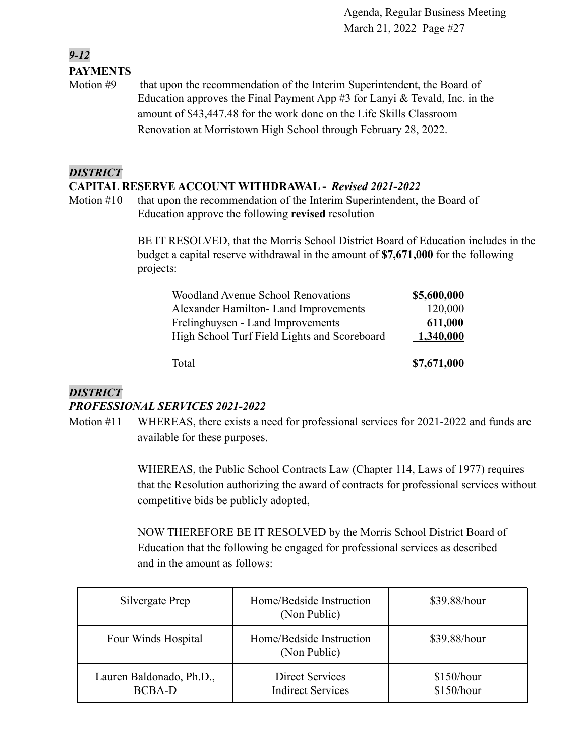### *9-12* **PAYMENTS**

Motion #9 that upon the recommendation of the Interim Superintendent, the Board of Education approves the Final Payment App #3 for Lanyi & Tevald, Inc. in the amount of \$43,447.48 for the work done on the Life Skills Classroom Renovation at Morristown High School through February 28, 2022.

### *DISTRICT*

#### **CAPITAL RESERVE ACCOUNT WITHDRAWAL -** *Revised 2021-2022*

Motion #10 that upon the recommendation of the Interim Superintendent, the Board of Education approve the following **revised** resolution

> BE IT RESOLVED, that the Morris School District Board of Education includes in the budget a capital reserve withdrawal in the amount of **\$7,671,000** for the following projects:

| <b>Woodland Avenue School Renovations</b>    | \$5,600,000 |
|----------------------------------------------|-------------|
| Alexander Hamilton-Land Improvements         | 120,000     |
| Frelinghuysen - Land Improvements            | 611,000     |
| High School Turf Field Lights and Scoreboard | 1,340,000   |
| Total                                        | \$7,671,000 |

#### *DISTRICT*

#### *PROFESSIONAL SERVICES 2021-2022*

Motion #11 WHEREAS, there exists a need for professional services for 2021-2022 and funds are available for these purposes.

> WHEREAS, the Public School Contracts Law (Chapter 114, Laws of 1977) requires that the Resolution authorizing the award of contracts for professional services without competitive bids be publicly adopted,

NOW THEREFORE BE IT RESOLVED by the Morris School District Board of Education that the following be engaged for professional services as described and in the amount as follows:

| Silvergate Prep                           | Home/Bedside Instruction<br>(Non Public)    | \$39.88/hour             |
|-------------------------------------------|---------------------------------------------|--------------------------|
| Four Winds Hospital                       | Home/Bedside Instruction<br>(Non Public)    | \$39.88/hour             |
| Lauren Baldonado, Ph.D.,<br><b>BCBA-D</b> | Direct Services<br><b>Indirect Services</b> | \$150/hour<br>\$150/hour |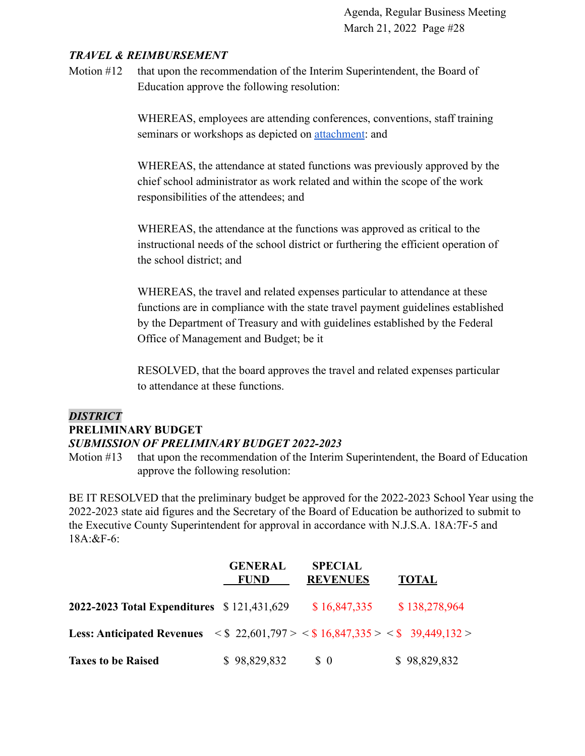#### *TRAVEL & REIMBURSEMENT*

Motion #12 that upon the recommendation of the Interim Superintendent, the Board of Education approve the following resolution:

> WHEREAS, employees are attending conferences, conventions, staff training seminars or workshops as depicted on **attachment**: and

WHEREAS, the attendance at stated functions was previously approved by the chief school administrator as work related and within the scope of the work responsibilities of the attendees; and

WHEREAS, the attendance at the functions was approved as critical to the instructional needs of the school district or furthering the efficient operation of the school district; and

WHEREAS, the travel and related expenses particular to attendance at these functions are in compliance with the state travel payment guidelines established by the Department of Treasury and with guidelines established by the Federal Office of Management and Budget; be it

RESOLVED, that the board approves the travel and related expenses particular to attendance at these functions.

### *DISTRICT*

#### **PRELIMINARY BUDGET**

#### *SUBMISSION OF PRELIMINARY BUDGET 2022-2023*

Motion #13 that upon the recommendation of the Interim Superintendent, the Board of Education approve the following resolution:

BE IT RESOLVED that the preliminary budget be approved for the 2022-2023 School Year using the 2022-2023 state aid figures and the Secretary of the Board of Education be authorized to submit to the Executive County Superintendent for approval in accordance with N.J.S.A. 18A:7F-5 and 18A:&F-6:

|                                                                                                                               | <b>GENERAL</b><br><b>FUND</b> | <b>SPECIAL</b><br><b>REVENUES</b> | <b>TOTAL</b>  |
|-------------------------------------------------------------------------------------------------------------------------------|-------------------------------|-----------------------------------|---------------|
| <b>2022-2023 Total Expenditures</b> \$121,431,629                                                                             |                               | \$16,847,335                      | \$138,278,964 |
| <b>Less: Anticipated Revenues</b> $\langle \$ 22,601,797 \rangle \langle \$ 16,847,335 \rangle \langle \$ 39,449,132 \rangle$ |                               |                                   |               |
| <b>Taxes to be Raised</b>                                                                                                     | \$98,829,832                  | $\frac{1}{2}$                     | \$98,829,832  |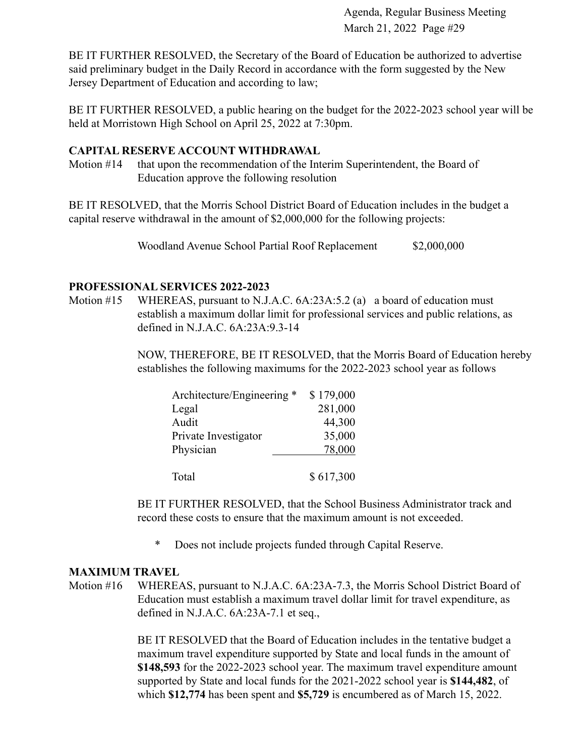BE IT FURTHER RESOLVED, the Secretary of the Board of Education be authorized to advertise said preliminary budget in the Daily Record in accordance with the form suggested by the New Jersey Department of Education and according to law;

BE IT FURTHER RESOLVED, a public hearing on the budget for the 2022-2023 school year will be held at Morristown High School on April 25, 2022 at 7:30pm.

#### **CAPITAL RESERVE ACCOUNT WITHDRAWAL**

Motion #14 that upon the recommendation of the Interim Superintendent, the Board of Education approve the following resolution

BE IT RESOLVED, that the Morris School District Board of Education includes in the budget a capital reserve withdrawal in the amount of \$2,000,000 for the following projects:

Woodland Avenue School Partial Roof Replacement \$2,000,000

#### **PROFESSIONAL SERVICES 2022-2023**

Motion #15 WHEREAS, pursuant to N.J.A.C. 6A:23A:5.2 (a) a board of education must establish a maximum dollar limit for professional services and public relations, as defined in N.J.A.C. 6A:23A:9.3-14

> NOW, THEREFORE, BE IT RESOLVED, that the Morris Board of Education hereby establishes the following maximums for the 2022-2023 school year as follows

| Architecture/Engineering * | \$179,000 |
|----------------------------|-----------|
| Legal                      | 281,000   |
| Audit                      | 44,300    |
| Private Investigator       | 35,000    |
| Physician                  | 78,000    |
|                            |           |
| Total                      | \$617,300 |

BE IT FURTHER RESOLVED, that the School Business Administrator track and record these costs to ensure that the maximum amount is not exceeded.

\* Does not include projects funded through Capital Reserve.

#### **MAXIMUM TRAVEL**

Motion #16 WHEREAS, pursuant to N.J.A.C. 6A:23A-7.3, the Morris School District Board of Education must establish a maximum travel dollar limit for travel expenditure, as defined in N.J.A.C. 6A:23A-7.1 et seq.,

> BE IT RESOLVED that the Board of Education includes in the tentative budget a maximum travel expenditure supported by State and local funds in the amount of **\$148,593** for the 2022-2023 school year. The maximum travel expenditure amount supported by State and local funds for the 2021-2022 school year is **\$144,482**, of which **\$12,774** has been spent and **\$5,729** is encumbered as of March 15, 2022.